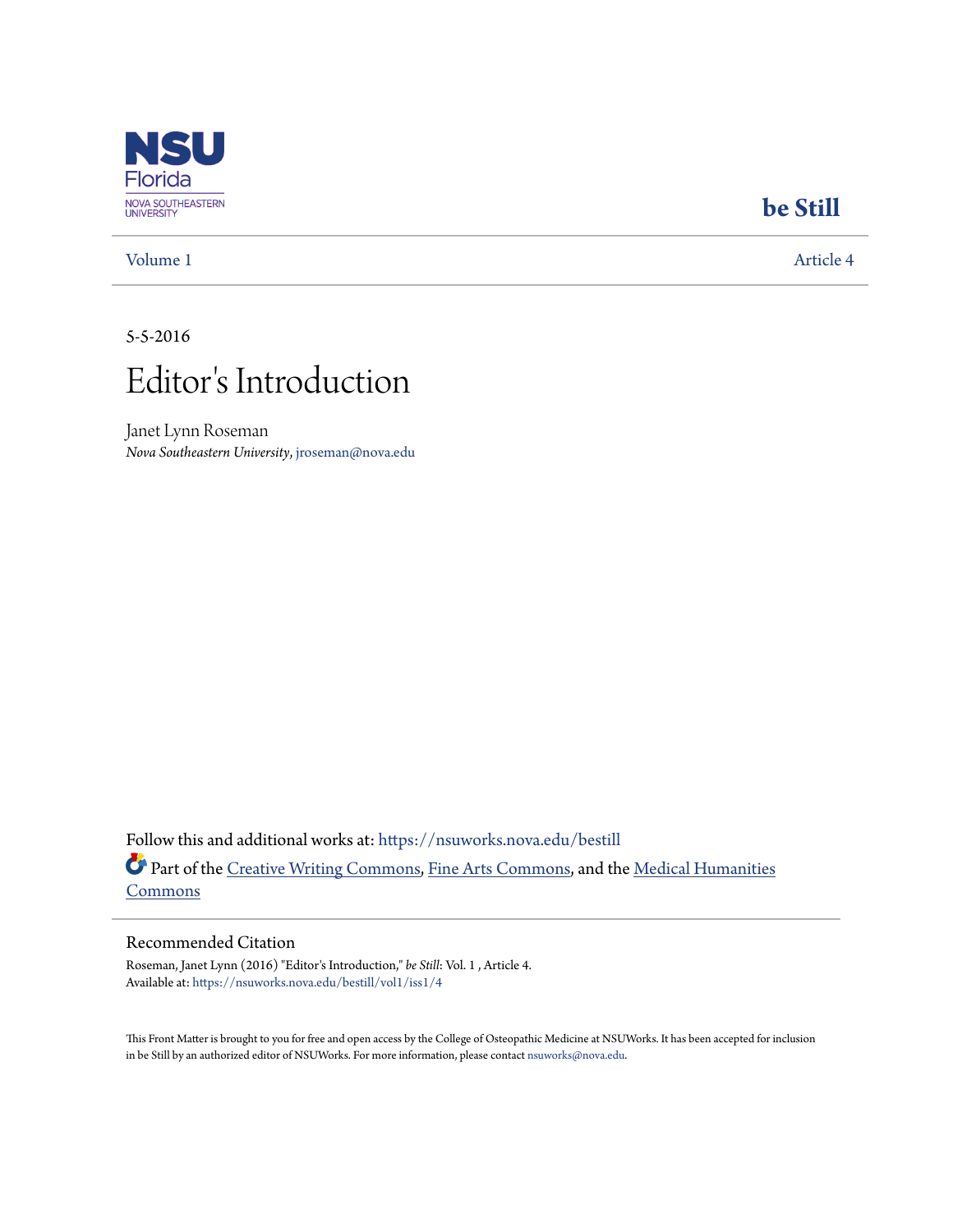

### [Volume 1](https://nsuworks.nova.edu/bestill/vol1?utm_source=nsuworks.nova.edu%2Fbestill%2Fvol1%2Fiss1%2F4&utm_medium=PDF&utm_campaign=PDFCoverPages) [Article 4](https://nsuworks.nova.edu/bestill/vol1/iss1/4?utm_source=nsuworks.nova.edu%2Fbestill%2Fvol1%2Fiss1%2F4&utm_medium=PDF&utm_campaign=PDFCoverPages)

## **[be Still](https://nsuworks.nova.edu/bestill?utm_source=nsuworks.nova.edu%2Fbestill%2Fvol1%2Fiss1%2F4&utm_medium=PDF&utm_campaign=PDFCoverPages)**

#### 5-5-2016



Janet Lynn Roseman *Nova Southeastern University*, jroseman@nova.edu

Follow this and additional works at: [https://nsuworks.nova.edu/bestill](https://nsuworks.nova.edu/bestill?utm_source=nsuworks.nova.edu%2Fbestill%2Fvol1%2Fiss1%2F4&utm_medium=PDF&utm_campaign=PDFCoverPages) Part of the [Creative Writing Commons](http://network.bepress.com/hgg/discipline/574?utm_source=nsuworks.nova.edu%2Fbestill%2Fvol1%2Fiss1%2F4&utm_medium=PDF&utm_campaign=PDFCoverPages), [Fine Arts Commons,](http://network.bepress.com/hgg/discipline/1141?utm_source=nsuworks.nova.edu%2Fbestill%2Fvol1%2Fiss1%2F4&utm_medium=PDF&utm_campaign=PDFCoverPages) and the [Medical Humanities](http://network.bepress.com/hgg/discipline/1303?utm_source=nsuworks.nova.edu%2Fbestill%2Fvol1%2Fiss1%2F4&utm_medium=PDF&utm_campaign=PDFCoverPages) [Commons](http://network.bepress.com/hgg/discipline/1303?utm_source=nsuworks.nova.edu%2Fbestill%2Fvol1%2Fiss1%2F4&utm_medium=PDF&utm_campaign=PDFCoverPages)

#### Recommended Citation

Roseman, Janet Lynn (2016) "Editor's Introduction," *be Still*: Vol. 1 , Article 4. Available at: [https://nsuworks.nova.edu/bestill/vol1/iss1/4](https://nsuworks.nova.edu/bestill/vol1/iss1/4?utm_source=nsuworks.nova.edu%2Fbestill%2Fvol1%2Fiss1%2F4&utm_medium=PDF&utm_campaign=PDFCoverPages)

This Front Matter is brought to you for free and open access by the College of Osteopathic Medicine at NSUWorks. It has been accepted for inclusion in be Still by an authorized editor of NSUWorks. For more information, please contact [nsuworks@nova.edu.](mailto:nsuworks@nova.edu)